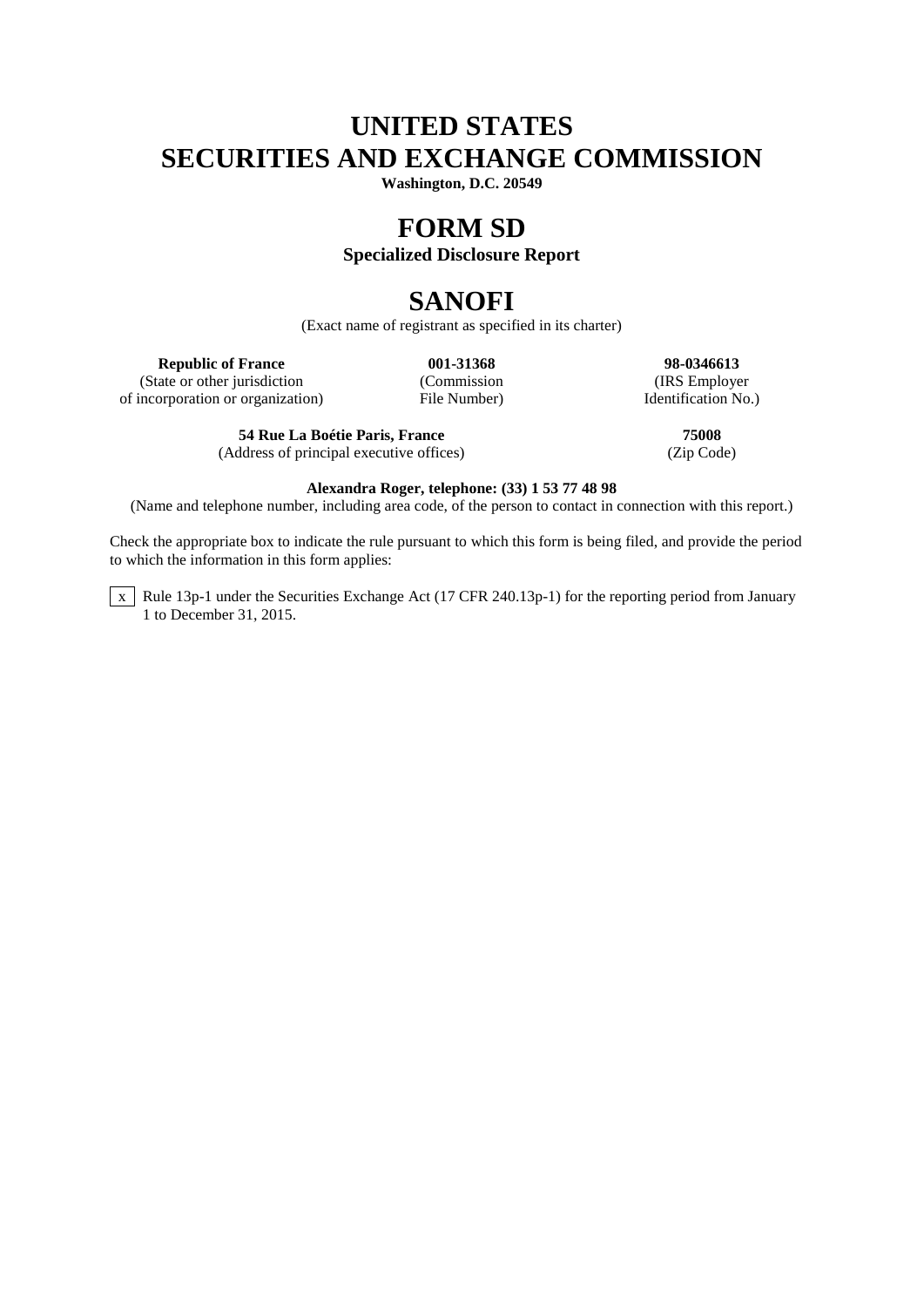# **UNITED STATES SECURITIES AND EXCHANGE COMMISSION**

**Washington, D.C. 20549**

## **FORM SD**

## **Specialized Disclosure Report**

# **SANOFI**

(Exact name of registrant as specified in its charter)

(State or other jurisdiction (Commission (Commission (IRS Employer incorporation or organization) File Number)  $\blacksquare$  Identification No.) of incorporation or organization)

**54 Rue La Boétie Paris, France 75008** (Address of principal executive offices)

**Republic of France 001-31368 98-0346613**<br>
(Commission **12.51368 98-0346613** 

### **Alexandra Roger, telephone: (33) 1 53 77 48 98**

(Name and telephone number, including area code, of the person to contact in connection with this report.)

Check the appropriate box to indicate the rule pursuant to which this form is being filed, and provide the period to which the information in this form applies:

 $\overline{x}$  Rule 13p-1 under the Securities Exchange Act (17 CFR 240.13p-1) for the reporting period from January 1 to December 31, 2015.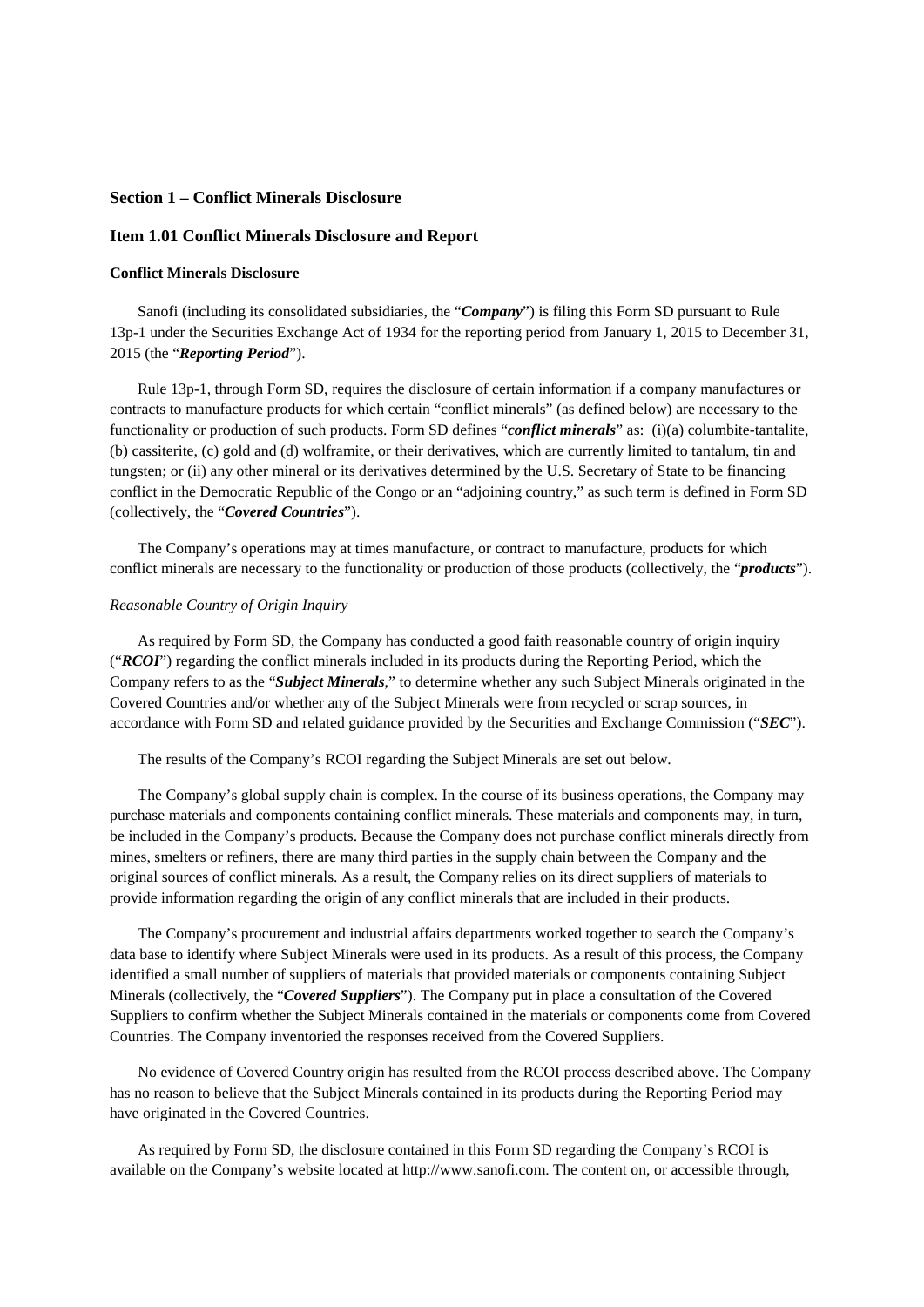### **Section 1 – Conflict Minerals Disclosure**

### **Item 1.01 Conflict Minerals Disclosure and Report**

#### **Conflict Minerals Disclosure**

Sanofi (including its consolidated subsidiaries, the "*Company*") is filing this Form SD pursuant to Rule 13p-1 under the Securities Exchange Act of 1934 for the reporting period from January 1, 2015 to December 31, 2015 (the "*Reporting Period*").

Rule 13p-1, through Form SD, requires the disclosure of certain information if a company manufactures or contracts to manufacture products for which certain "conflict minerals" (as defined below) are necessary to the functionality or production of such products. Form SD defines "*conflict minerals*" as: (i)(a) columbite-tantalite, (b) cassiterite, (c) gold and (d) wolframite, or their derivatives, which are currently limited to tantalum, tin and tungsten; or (ii) any other mineral or its derivatives determined by the U.S. Secretary of State to be financing conflict in the Democratic Republic of the Congo or an "adjoining country," as such term is defined in Form SD (collectively, the "*Covered Countries*").

The Company's operations may at times manufacture, or contract to manufacture, products for which conflict minerals are necessary to the functionality or production of those products (collectively, the "*products*").

#### *Reasonable Country of Origin Inquiry*

As required by Form SD, the Company has conducted a good faith reasonable country of origin inquiry ("*RCOI*") regarding the conflict minerals included in its products during the Reporting Period, which the Company refers to as the "*Subject Minerals*," to determine whether any such Subject Minerals originated in the Covered Countries and/or whether any of the Subject Minerals were from recycled or scrap sources, in accordance with Form SD and related guidance provided by the Securities and Exchange Commission ("*SEC*").

The results of the Company's RCOI regarding the Subject Minerals are set out below.

The Company's global supply chain is complex. In the course of its business operations, the Company may purchase materials and components containing conflict minerals. These materials and components may, in turn, be included in the Company's products. Because the Company does not purchase conflict minerals directly from mines, smelters or refiners, there are many third parties in the supply chain between the Company and the original sources of conflict minerals. As a result, the Company relies on its direct suppliers of materials to provide information regarding the origin of any conflict minerals that are included in their products.

The Company's procurement and industrial affairs departments worked together to search the Company's data base to identify where Subject Minerals were used in its products. As a result of this process, the Company identified a small number of suppliers of materials that provided materials or components containing Subject Minerals (collectively, the "*Covered Suppliers*"). The Company put in place a consultation of the Covered Suppliers to confirm whether the Subject Minerals contained in the materials or components come from Covered Countries. The Company inventoried the responses received from the Covered Suppliers.

No evidence of Covered Country origin has resulted from the RCOI process described above. The Company has no reason to believe that the Subject Minerals contained in its products during the Reporting Period may have originated in the Covered Countries.

As required by Form SD, the disclosure contained in this Form SD regarding the Company's RCOI is available on the Company's website located at http://www.sanofi.com. The content on, or accessible through,